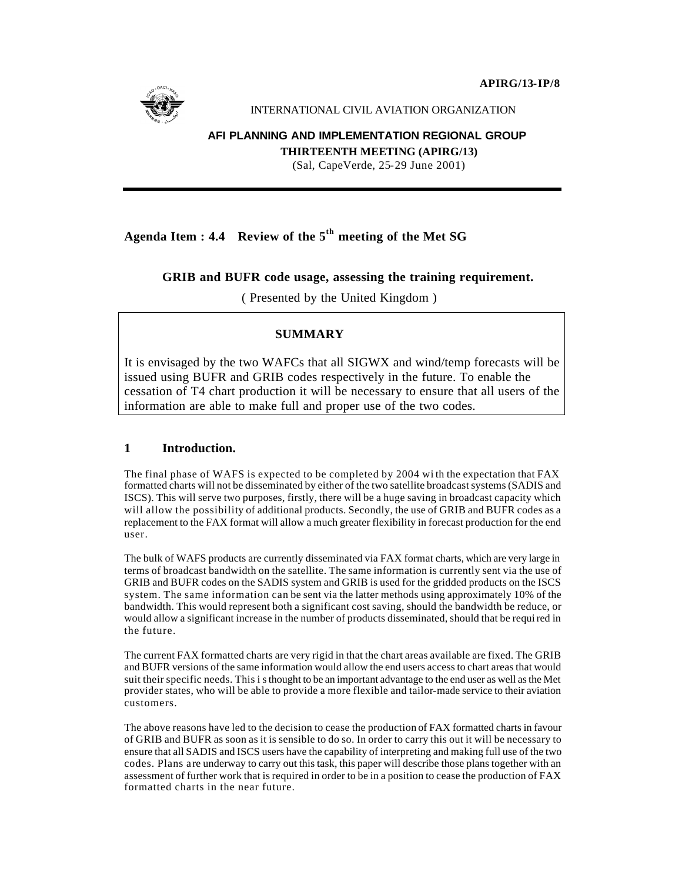**APIRG/13-IP/8**



INTERNATIONAL CIVIL AVIATION ORGANIZATION

## **AFI PLANNING AND IMPLEMENTATION REGIONAL GROUP**

**THIRTEENTH MEETING (APIRG/13)**

(Sal, CapeVerde, 25-29 June 2001)

# **Agenda Item : 4.4 Review of the 5th meeting of the Met SG**

## **GRIB and BUFR code usage, assessing the training requirement.**

( Presented by the United Kingdom )

## **SUMMARY**

It is envisaged by the two WAFCs that all SIGWX and wind/temp forecasts will be issued using BUFR and GRIB codes respectively in the future. To enable the cessation of T4 chart production it will be necessary to ensure that all users of the information are able to make full and proper use of the two codes.

## **1 Introduction.**

The final phase of WAFS is expected to be completed by 2004 wi th the expectation that FAX formatted charts will not be disseminated by either of the two satellite broadcast systems (SADIS and ISCS). This will serve two purposes, firstly, there will be a huge saving in broadcast capacity which will allow the possibility of additional products. Secondly, the use of GRIB and BUFR codes as a replacement to the FAX format will allow a much greater flexibility in forecast production for the end user.

The bulk of WAFS products are currently disseminated via FAX format charts, which are very large in terms of broadcast bandwidth on the satellite. The same information is currently sent via the use of GRIB and BUFR codes on the SADIS system and GRIB is used for the gridded products on the ISCS system. The same information can be sent via the latter methods using approximately 10% of the bandwidth. This would represent both a significant cost saving, should the bandwidth be reduce, or would allow a significant increase in the number of products disseminated, should that be required in the future.

The current FAX formatted charts are very rigid in that the chart areas available are fixed. The GRIB and BUFR versions of the same information would allow the end users access to chart areas that would suit their specific needs. This i s thought to be an important advantage to the end user as well as the Met provider states, who will be able to provide a more flexible and tailor-made service to their aviation customers.

The above reasons have led to the decision to cease the production of FAX formatted charts in favour of GRIB and BUFR as soon as it is sensible to do so. In order to carry this out it will be necessary to ensure that all SADIS and ISCS users have the capability of interpreting and making full use of the two codes. Plans a re underway to carry out this task, this paper will describe those plans together with an assessment of further work that is required in order to be in a position to cease the production of FAX formatted charts in the near future.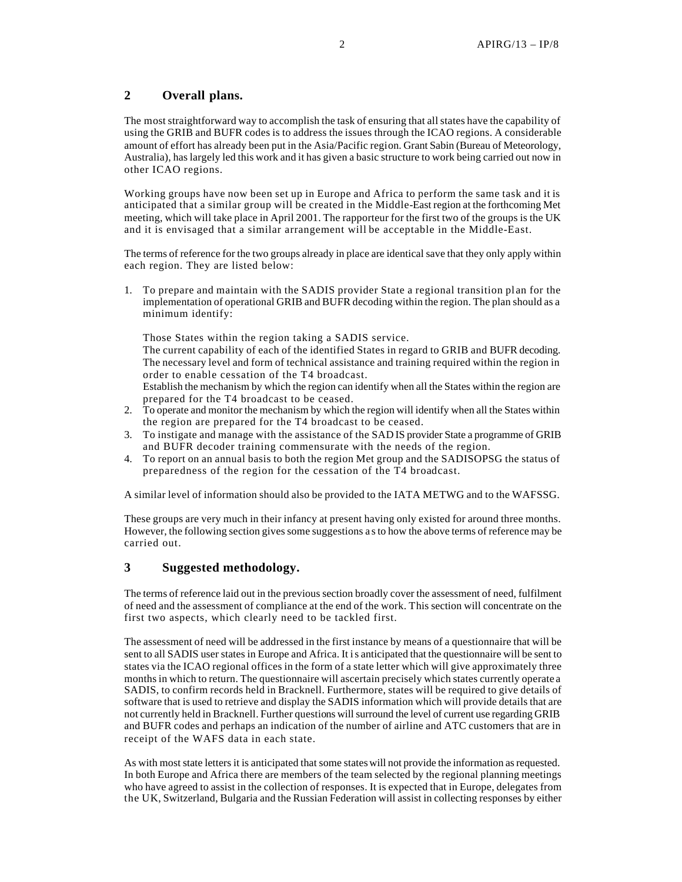## **2 Overall plans.**

The most straightforward way to accomplish the task of ensuring that all states have the capability of using the GRIB and BUFR codes is to address the issues through the ICAO regions. A considerable amount of effort has already been put in the Asia/Pacific region. Grant Sabin (Bureau of Meteorology, Australia), has largely led this work and it has given a basic structure to work being carried out now in other ICAO regions.

Working groups have now been set up in Europe and Africa to perform the same task and it is anticipated that a similar group will be created in the Middle-East region at the forthcoming Met meeting, which will take place in April 2001. The rapporteur for the first two of the groups is the UK and it is envisaged that a similar arrangement will be acceptable in the Middle-East.

The terms of reference for the two groups already in place are identical save that they only apply within each region. They are listed below:

1. To prepare and maintain with the SADIS provider State a regional transition plan for the implementation of operational GRIB and BUFR decoding within the region. The plan should as a minimum identify:

Those States within the region taking a SADIS service.

The current capability of each of the identified States in regard to GRIB and BUFR decoding. The necessary level and form of technical assistance and training required within the region in order to enable cessation of the T4 broadcast.

Establish the mechanism by which the region can identify when all the States within the region are prepared for the T4 broadcast to be ceased.

- 2. To operate and monitor the mechanism by which the region will identify when all the States within the region are prepared for the T4 broadcast to be ceased.
- 3. To instigate and manage with the assistance of the SAD IS provider State a programme of GRIB and BUFR decoder training commensurate with the needs of the region.
- 4. To report on an annual basis to both the region Met group and the SADISOPSG the status of preparedness of the region for the cessation of the T4 broadcast.

A similar level of information should also be provided to the IATA METWG and to the WAFSSG.

These groups are very much in their infancy at present having only existed for around three months. However, the following section gives some suggestions a s to how the above terms of reference may be carried out.

### **3 Suggested methodology.**

The terms of reference laid out in the previous section broadly cover the assessment of need, fulfilment of need and the assessment of compliance at the end of the work. This section will concentrate on the first two aspects, which clearly need to be tackled first.

The assessment of need will be addressed in the first instance by means of a questionnaire that will be sent to all SADIS user states in Europe and Africa. It is anticipated that the questionnaire will be sent to states via the ICAO regional offices in the form of a state letter which will give approximately three months in which to return. The questionnaire will ascertain precisely which states currently operate a SADIS, to confirm records held in Bracknell. Furthermore, states will be required to give details of software that is used to retrieve and display the SADIS information which will provide details that are not currently held in Bracknell. Further questions will surround the level of current use regarding GRIB and BUFR codes and perhaps an indication of the number of airline and ATC customers that are in receipt of the WAFS data in each state.

As with most state letters it is anticipated that some states will not provide the information as requested. In both Europe and Africa there are members of the team selected by the regional planning meetings who have agreed to assist in the collection of responses. It is expected that in Europe, delegates from the UK, Switzerland, Bulgaria and the Russian Federation will assist in collecting responses by either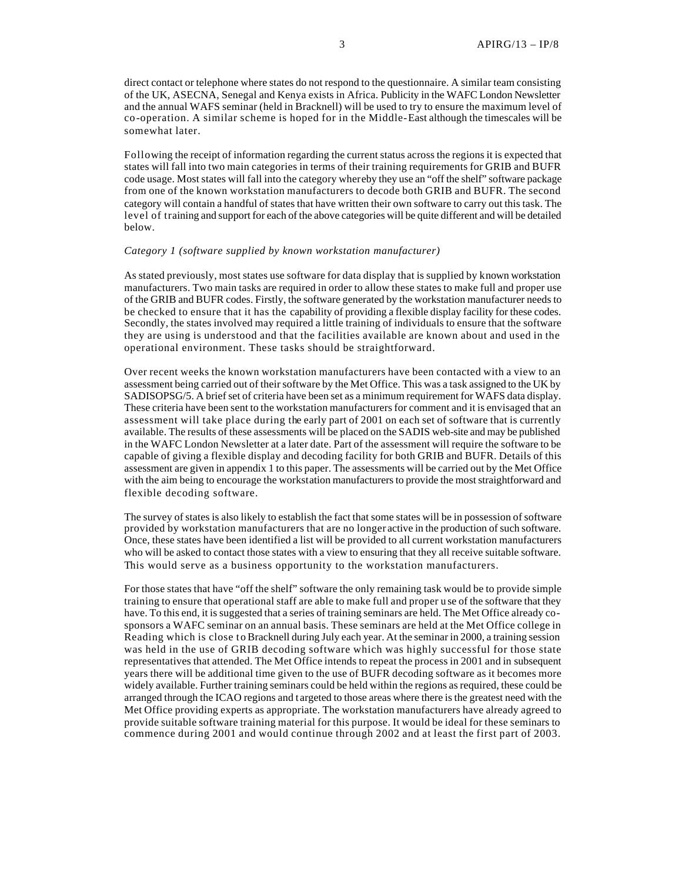direct contact or telephone where states do not respond to the questionnaire. A similar team consisting of the UK, ASECNA, Senegal and Kenya exists in Africa. Publicity in the WAFC London Newsletter and the annual WAFS seminar (held in Bracknell) will be used to try to ensure the maximum level of co-operation. A similar scheme is hoped for in the Middle-East although the timescales will be somewhat later.

Following the receipt of information regarding the current status across the regions it is expected that states will fall into two main categories in terms of their training requirements for GRIB and BUFR code usage. Most states will fall into the category whereby they use an "off the shelf" software package from one of the known workstation manufacturers to decode both GRIB and BUFR. The second category will contain a handful of states that have written their own software to carry out this task. The level of training and support for each of the above categories will be quite different and will be detailed below.

#### *Category 1 (software supplied by known workstation manufacturer)*

As stated previously, most states use software for data display that is supplied by known workstation manufacturers. Two main tasks are required in order to allow these states to make full and proper use of the GRIB and BUFR codes. Firstly, the software generated by the workstation manufacturer needs to be checked to ensure that it has the capability of providing a flexible display facility for these codes. Secondly, the states involved may required a little training of individuals to ensure that the software they are using is understood and that the facilities available are known about and used in the operational environment. These tasks should be straightforward.

Over recent weeks the known workstation manufacturers have been contacted with a view to an assessment being carried out of their software by the Met Office. This was a task assigned to the UK by SADISOPSG/5. A brief set of criteria have been set as a minimum requirement for WAFS data display. These criteria have been sent to the workstation manufacturers for comment and it is envisaged that an assessment will take place during the early part of 2001 on each set of software that is currently available. The results of these assessments will be placed on the SADIS web-site and may be published in the WAFC London Newsletter at a later date. Part of the assessment will require the software to be capable of giving a flexible display and decoding facility for both GRIB and BUFR. Details of this assessment are given in appendix 1 to this paper. The assessments will be carried out by the Met Office with the aim being to encourage the workstation manufacturers to provide the most straightforward and flexible decoding software.

The survey of states is also likely to establish the fact that some states will be in possession of software provided by workstation manufacturers that are no longer active in the production of such software. Once, these states have been identified a list will be provided to all current workstation manufacturers who will be asked to contact those states with a view to ensuring that they all receive suitable software. This would serve as a business opportunity to the workstation manufacturers.

For those states that have "off the shelf" software the only remaining task would be to provide simple training to ensure that operational staff are able to make full and proper u se of the software that they have. To this end, it is suggested that a series of training seminars are held. The Met Office already cosponsors a WAFC seminar on an annual basis. These seminars are held at the Met Office college in Reading which is close to Bracknell during July each year. At the seminar in 2000, a training session was held in the use of GRIB decoding software which was highly successful for those state representatives that attended. The Met Office intends to repeat the process in 2001 and in subsequent years there will be additional time given to the use of BUFR decoding software as it becomes more widely available. Further training seminars could be held within the regions as required, these could be arranged through the ICAO regions and t argeted to those areas where there is the greatest need with the Met Office providing experts as appropriate. The workstation manufacturers have already agreed to provide suitable software training material for this purpose. It would be ideal for these seminars to commence during 2001 and would continue through 2002 and at least the first part of 2003.